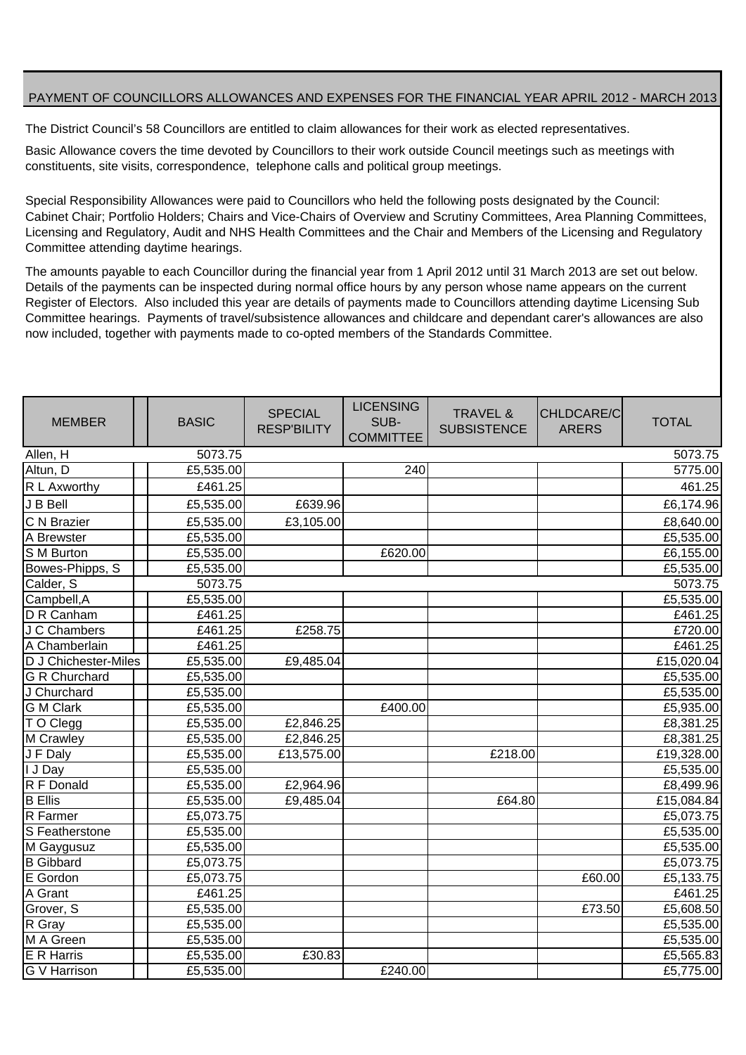## PAYMENT OF COUNCILLORS ALLOWANCES AND EXPENSES FOR THE FINANCIAL YEAR APRIL 2012 - MARCH 2013

The District Council's 58 Councillors are entitled to claim allowances for their work as elected representatives.

Basic Allowance covers the time devoted by Councillors to their work outside Council meetings such as meetings with constituents, site visits, correspondence, telephone calls and political group meetings.

Special Responsibility Allowances were paid to Councillors who held the following posts designated by the Council: Cabinet Chair; Portfolio Holders; Chairs and Vice-Chairs of Overview and Scrutiny Committees, Area Planning Committees, Licensing and Regulatory, Audit and NHS Health Committees and the Chair and Members of the Licensing and Regulatory Committee attending daytime hearings.

The amounts payable to each Councillor during the financial year from 1 April 2012 until 31 March 2013 are set out below. Details of the payments can be inspected during normal office hours by any person whose name appears on the current Register of Electors. Also included this year are details of payments made to Councillors attending daytime Licensing Sub Committee hearings. Payments of travel/subsistence allowances and childcare and dependant carer's allowances are also now included, together with payments made to co-opted members of the Standards Committee.

| <b>MEMBER</b>                  | <b>BASIC</b>                 | <b>SPECIAL</b><br><b>RESP'BILITY</b> | <b>LICENSING</b><br>SUB-<br><b>COMMITTEE</b> | <b>TRAVEL &amp;</b><br><b>SUBSISTENCE</b> | CHLDCARE/C<br><b>ARERS</b> | <b>TOTAL</b> |
|--------------------------------|------------------------------|--------------------------------------|----------------------------------------------|-------------------------------------------|----------------------------|--------------|
| 5073.75<br>Allen, H<br>5073.75 |                              |                                      |                                              |                                           |                            |              |
| Altun, D                       | £5,535.00                    |                                      | 240                                          |                                           |                            | 5775.00      |
| R L Axworthy                   | £461.25                      |                                      |                                              |                                           |                            | 461.25       |
| J B Bell                       | £5,535.00                    | £639.96                              |                                              |                                           |                            | £6,174.96    |
| C N Brazier                    | £5,535.00                    | £3,105.00                            |                                              |                                           |                            | £8,640.00    |
| A Brewster                     | £5,535.00                    |                                      |                                              |                                           |                            | £5,535.00    |
| S M Burton                     | £5,535.00                    |                                      | £620.00                                      |                                           |                            | £6,155.00    |
| Bowes-Phipps, S                | £5,535.00                    |                                      |                                              |                                           |                            | £5,535.00    |
| Calder, S                      | 5073.75                      |                                      |                                              |                                           |                            | 5073.75      |
| Campbell, A                    | £5,535.00                    |                                      |                                              |                                           |                            | £5,535.00    |
| D R Canham                     | £461.25                      |                                      |                                              |                                           |                            | £461.25      |
| J C Chambers                   | $\overline{\text{£}}$ 461.25 | £258.75                              |                                              |                                           |                            | £720.00      |
| A Chamberlain                  | £461.25                      |                                      |                                              |                                           |                            | £461.25      |
| D J Chichester-Miles           | £5,535.00                    | £9,485.04                            |                                              |                                           |                            | £15,020.04   |
| <b>G R Churchard</b>           | £5,535.00                    |                                      |                                              |                                           |                            | £5,535.00    |
| J Churchard                    | £5,535.00                    |                                      |                                              |                                           |                            | £5,535.00    |
| <b>G</b> M Clark               | £5,535.00                    |                                      | £400.00                                      |                                           |                            | £5,935.00    |
| T O Clegg                      | £5,535.00                    | £2,846.25                            |                                              |                                           |                            | £8,381.25    |
| M Crawley                      | £5,535.00                    | £2,846.25                            |                                              |                                           |                            | £8,381.25    |
| J F Daly                       | £5,535.00                    | £13,575.00                           |                                              | £218.00                                   |                            | £19,328.00   |
| I J Day                        | £5,535.00                    |                                      |                                              |                                           |                            | £5,535.00    |
| R F Donald                     | E5,535.00                    | £2,964.96                            |                                              |                                           |                            | £8,499.96    |
| <b>B</b> Ellis                 | £5,535.00                    | £9,485.04                            |                                              | £64.80                                    |                            | £15,084.84   |
| <b>R</b> Farmer                | £5,073.75                    |                                      |                                              |                                           |                            | £5,073.75    |
| S Featherstone                 | £5,535.00                    |                                      |                                              |                                           |                            | £5,535.00    |
| M Gaygusuz                     | £5,535.00                    |                                      |                                              |                                           |                            | £5,535.00    |
| <b>B</b> Gibbard               | £5,073.75                    |                                      |                                              |                                           |                            | £5,073.75    |
| E Gordon                       | £5,073.75                    |                                      |                                              |                                           | £60.00                     | £5,133.75    |
| A Grant                        | £461.25                      |                                      |                                              |                                           |                            | £461.25      |
| Grover, S                      | £5,535.00                    |                                      |                                              |                                           | £73.50                     | £5,608.50    |
| R Gray                         | £5,535.00                    |                                      |                                              |                                           |                            | E5,535.00    |
| M A Green                      | £5,535.00                    |                                      |                                              |                                           |                            | £5,535.00    |
| E R Harris                     | £5,535.00                    | £30.83                               |                                              |                                           |                            | £5,565.83    |
| <b>G</b> V Harrison            | £5,535.00                    |                                      | £240.00                                      |                                           |                            | £5,775.00    |